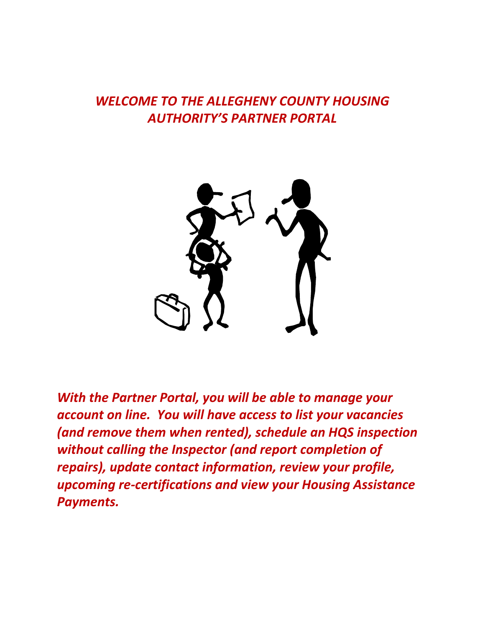# *WELCOME TO THE ALLEGHENY COUNTY HOUSING AUTHORITY'S PARTNER PORTAL*



*With the Partner Portal, you will be able to manage your account on line. You will have access to list your vacancies (and remove them when rented), schedule an HQS inspection without calling the Inspector (and report completion of repairs), update contact information, review your profile, upcoming re-certifications and view your Housing Assistance Payments.*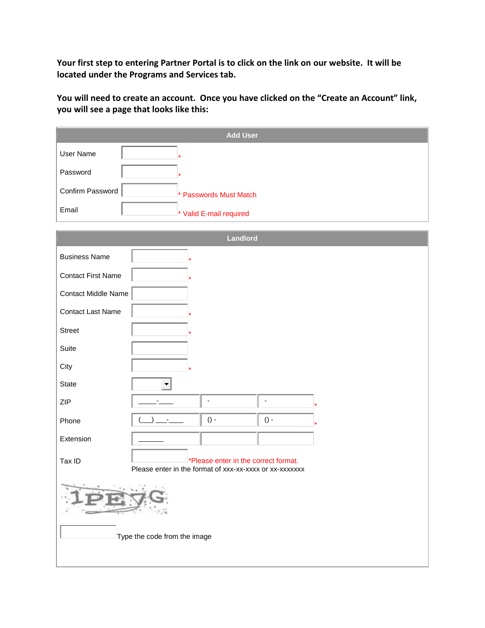**Your first step to entering Partner Portal is to click on the link on our website. It will be located under the Programs and Services tab.**

**You will need to create an account. Once you have clicked on the "Create an Account" link, you will see a page that looks like this:**

|                                                                                                           | <b>Add User</b>                  |  |  |  |  |  |
|-----------------------------------------------------------------------------------------------------------|----------------------------------|--|--|--|--|--|
| User Name                                                                                                 |                                  |  |  |  |  |  |
| Password                                                                                                  |                                  |  |  |  |  |  |
| Confirm Password                                                                                          | * Passwords Must Match           |  |  |  |  |  |
| Email                                                                                                     | * Valid E-mail required          |  |  |  |  |  |
|                                                                                                           |                                  |  |  |  |  |  |
|                                                                                                           | <b>Landlord</b>                  |  |  |  |  |  |
| <b>Business Name</b>                                                                                      |                                  |  |  |  |  |  |
| <b>Contact First Name</b>                                                                                 |                                  |  |  |  |  |  |
| Contact Middle Name                                                                                       |                                  |  |  |  |  |  |
| <b>Contact Last Name</b>                                                                                  |                                  |  |  |  |  |  |
| <b>Street</b>                                                                                             |                                  |  |  |  |  |  |
| Suite                                                                                                     |                                  |  |  |  |  |  |
| City                                                                                                      |                                  |  |  |  |  |  |
| State                                                                                                     | Ŧ                                |  |  |  |  |  |
| <b>ZIP</b>                                                                                                | $\blacksquare$<br>$\blacksquare$ |  |  |  |  |  |
| Phone                                                                                                     | $() -$<br>$()$ -                 |  |  |  |  |  |
| Extension                                                                                                 |                                  |  |  |  |  |  |
| *Please enter in the correct format.<br>Tax ID<br>Please enter in the format of xxx-xx-xxxx or xx-xxxxxxx |                                  |  |  |  |  |  |
|                                                                                                           |                                  |  |  |  |  |  |
|                                                                                                           | Type the code from the image     |  |  |  |  |  |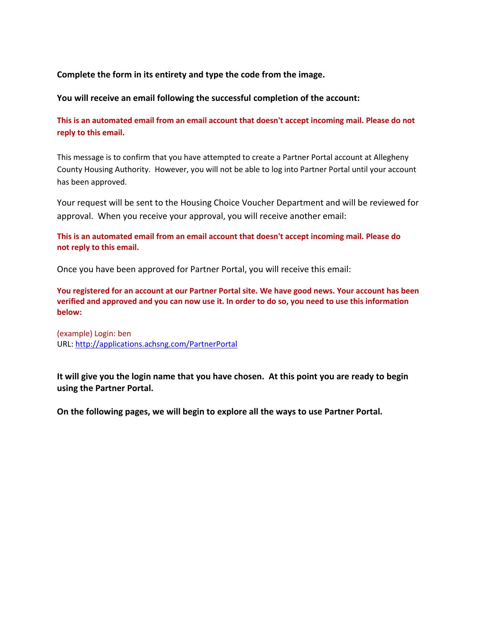#### **Complete the form in its entirety and type the code from the image.**

**You will receive an email following the successful completion of the account:**

**This is an automated email from an email account that doesn't accept incoming mail. Please do not reply to this email.**

This message is to confirm that you have attempted to create a Partner Portal account at Allegheny County Housing Authority. However, you will not be able to log into Partner Portal until your account has been approved.

Your request will be sent to the Housing Choice Voucher Department and will be reviewed for approval. When you receive your approval, you will receive another email:

**This is an automated email from an email account that doesn't accept incoming mail. Please do not reply to this email.**

Once you have been approved for Partner Portal, you will receive this email:

**You registered for an account at our Partner Portal site. We have good news. Your account has been verified and approved and you can now use it. In order to do so, you need to use this information below:**

(example) Login: ben URL:<http://applications.achsng.com/PartnerPortal>

**It will give you the login name that you have chosen. At this point you are ready to begin using the Partner Portal.**

**On the following pages, we will begin to explore all the ways to use Partner Portal.**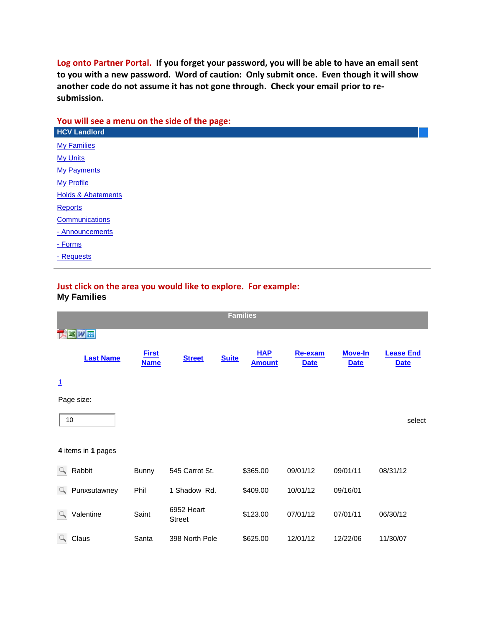**Log onto Partner Portal. If you forget your password, you will be able to have an email sent to you with a new password. Word of caution: Only submit once. Even though it will show another code do not assume it has not gone through. Check your email prior to resubmission.**

#### **You will see a menu on the side of the page:**

| . .<br><b>HCV Landlord</b>    |
|-------------------------------|
| <b>My Families</b>            |
| <b>My Units</b>               |
| <b>My Payments</b>            |
| <b>My Profile</b>             |
| <b>Holds &amp; Abatements</b> |
| <b>Reports</b>                |
| Communications                |
| - Announcements               |
| - Forms                       |
| - Requests                    |

#### **Just click on the area you would like to explore. For example: My Families**

| <b>Families</b>         |                             |                             |              |                             |                        |                               |                                 |
|-------------------------|-----------------------------|-----------------------------|--------------|-----------------------------|------------------------|-------------------------------|---------------------------------|
| ※  W 田                  |                             |                             |              |                             |                        |                               |                                 |
| <b>Last Name</b>        | <b>First</b><br><b>Name</b> | <b>Street</b>               | <b>Suite</b> | <b>HAP</b><br><b>Amount</b> | Re-exam<br><b>Date</b> | <b>Move-In</b><br><b>Date</b> | <b>Lease End</b><br><b>Date</b> |
| $\overline{1}$          |                             |                             |              |                             |                        |                               |                                 |
| Page size:              |                             |                             |              |                             |                        |                               |                                 |
| 10                      |                             |                             |              |                             |                        |                               | select                          |
| 4 items in 1 pages      |                             |                             |              |                             |                        |                               |                                 |
| Rabbit<br>$\mathcal{L}$ | Bunny                       | 545 Carrot St.              |              | \$365.00                    | 09/01/12               | 09/01/11                      | 08/31/12                        |
| Punxsutawney<br>9       | Phil                        | 1 Shadow Rd.                |              | \$409.00                    | 10/01/12               | 09/16/01                      |                                 |
| Valentine<br>Q.         | Saint                       | 6952 Heart<br><b>Street</b> |              | \$123.00                    | 07/01/12               | 07/01/11                      | 06/30/12                        |
| Q.<br>Claus             | Santa                       | 398 North Pole              |              | \$625.00                    | 12/01/12               | 12/22/06                      | 11/30/07                        |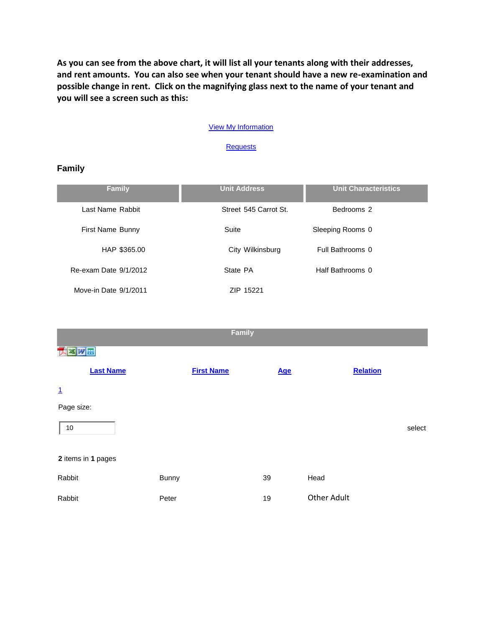**As you can see from the above chart, it will list all your tenants along with their addresses, and rent amounts. You can also see when your tenant should have a new re-examination and possible change in rent. Click on the magnifying glass next to the name of your tenant and you will see a screen such as this:**

#### [View My Information](http://applications.achsng.com/partnerportal/View/HCVLandlord/Family/FamilyShow.aspx?FamilyID=257767)

**[Requests](http://applications.achsng.com/partnerportal/View/HCVLandlord/Family/FamilyShow.aspx?FamilyID=257767)** 

| amılv |
|-------|
|-------|

| <b>Family</b>         | <b>Unit Address</b>   | <b>Unit Characteristics</b> |
|-----------------------|-----------------------|-----------------------------|
| Last Name Rabbit      | Street 545 Carrot St. | Bedrooms 2                  |
| First Name Bunny      | Suite                 | Sleeping Rooms 0            |
| HAP \$365.00          | City Wilkinsburg      | Full Bathrooms 0            |
| Re-exam Date 9/1/2012 | State PA              | Half Bathrooms 0            |
| Move-in Date 9/1/2011 | ZIP 15221             |                             |

| <b>Family</b>      |                   |            |                    |  |  |  |
|--------------------|-------------------|------------|--------------------|--|--|--|
| 双田                 |                   |            |                    |  |  |  |
| <b>Last Name</b>   | <b>First Name</b> | <b>Age</b> | <b>Relation</b>    |  |  |  |
| $\overline{1}$     |                   |            |                    |  |  |  |
| Page size:         |                   |            |                    |  |  |  |
| 10                 |                   |            | select             |  |  |  |
| 2 items in 1 pages |                   |            |                    |  |  |  |
| Rabbit             | <b>Bunny</b>      | 39         | Head               |  |  |  |
| Rabbit             | Peter             | 19         | <b>Other Adult</b> |  |  |  |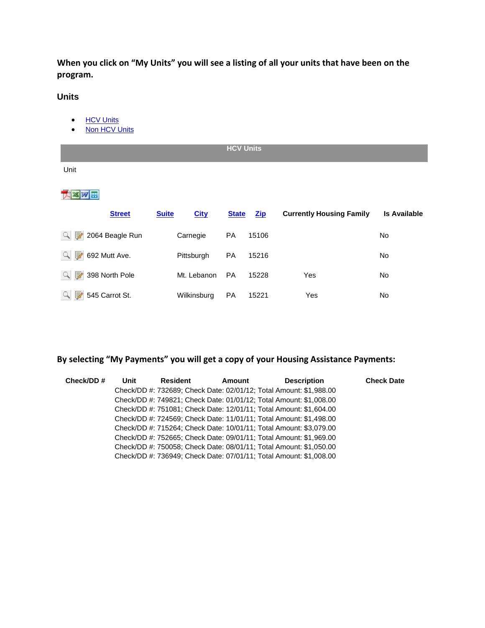**When you click on "My Units" you will see a listing of all your units that have been on the program.**

#### **Units**

- [HCV Units](http://applications.achsng.com/partnerportal/View/HCVLandlord/Unit/Unit.aspx)
- $\bullet$  [Non HCV Units](http://applications.achsng.com/partnerportal/View/HCVLandlord/Unit/Unit.aspx)

|         |                                                       |              |                          | <b>HCV Units</b> |                |                                 |                     |
|---------|-------------------------------------------------------|--------------|--------------------------|------------------|----------------|---------------------------------|---------------------|
| Unit    |                                                       |              |                          |                  |                |                                 |                     |
|         |                                                       |              |                          |                  |                |                                 |                     |
|         | <b>Street</b>                                         | <b>Suite</b> | <b>City</b>              | <b>State</b>     | $\mathbf{Zip}$ | <b>Currently Housing Family</b> | <b>Is Available</b> |
|         | $\left\lvert \mathbb{Q} \right\rvert$ 2064 Beagle Run | Carnegie     | <b>PA</b>                | 15106            |                |                                 | <b>No</b>           |
| Q.<br>₹ | 692 Mutt Ave.                                         |              | PA<br>Pittsburgh         | 15216            |                |                                 | No                  |
|         | $\mathbb{Q}$ 398 North Pole                           |              | Mt. Lebanon<br><b>PA</b> | 15228            | Yes            |                                 | No                  |
| 91<br>康 | 545 Carrot St.                                        |              | <b>PA</b><br>Wilkinsburg | 15221            | Yes            |                                 | No                  |

# **By selecting "My Payments" you will get a copy of your Housing Assistance Payments:**

| Check/DD # | Unit | <b>Resident</b> | Amount | <b>Description</b>                                                 | <b>Check Date</b> |
|------------|------|-----------------|--------|--------------------------------------------------------------------|-------------------|
|            |      |                 |        | Check/DD #: 732689; Check Date: 02/01/12; Total Amount: \$1,988.00 |                   |
|            |      |                 |        | Check/DD #: 749821; Check Date: 01/01/12; Total Amount: \$1,008.00 |                   |
|            |      |                 |        | Check/DD #: 751081; Check Date: 12/01/11; Total Amount: \$1,604.00 |                   |
|            |      |                 |        | Check/DD #: 724569; Check Date: 11/01/11; Total Amount: \$1,498.00 |                   |
|            |      |                 |        | Check/DD #: 715264; Check Date: 10/01/11; Total Amount: \$3,079.00 |                   |
|            |      |                 |        | Check/DD #: 752665; Check Date: 09/01/11; Total Amount: \$1,969.00 |                   |
|            |      |                 |        | Check/DD #: 750058; Check Date: 08/01/11; Total Amount: \$1,050.00 |                   |
|            |      |                 |        | Check/DD #: 736949; Check Date: 07/01/11; Total Amount: \$1,008.00 |                   |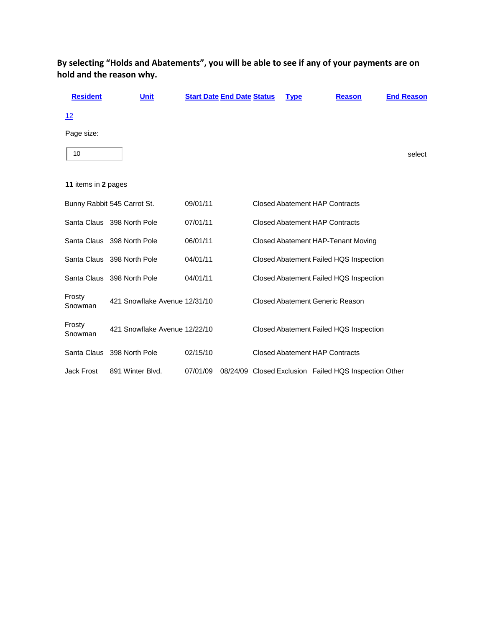| <b>Resident</b>     | <b>Unit</b>                   | <b>Start Date End Date Status</b> |  | <b>Type</b> | <b>Reason</b>                                         | <b>End Reason</b> |
|---------------------|-------------------------------|-----------------------------------|--|-------------|-------------------------------------------------------|-------------------|
| 12                  |                               |                                   |  |             |                                                       |                   |
| Page size:          |                               |                                   |  |             |                                                       |                   |
| 10                  |                               |                                   |  |             |                                                       | select            |
|                     |                               |                                   |  |             |                                                       |                   |
| 11 items in 2 pages |                               |                                   |  |             |                                                       |                   |
|                     | Bunny Rabbit 545 Carrot St.   | 09/01/11                          |  |             | <b>Closed Abatement HAP Contracts</b>                 |                   |
|                     | Santa Claus 398 North Pole    | 07/01/11                          |  |             | <b>Closed Abatement HAP Contracts</b>                 |                   |
|                     | Santa Claus 398 North Pole    | 06/01/11                          |  |             | Closed Abatement HAP-Tenant Moving                    |                   |
|                     | Santa Claus 398 North Pole    | 04/01/11                          |  |             | Closed Abatement Failed HQS Inspection                |                   |
|                     | Santa Claus 398 North Pole    | 04/01/11                          |  |             | Closed Abatement Failed HQS Inspection                |                   |
| Frosty<br>Snowman   | 421 Snowflake Avenue 12/31/10 |                                   |  |             | Closed Abatement Generic Reason                       |                   |
| Frosty<br>Snowman   | 421 Snowflake Avenue 12/22/10 |                                   |  |             | Closed Abatement Failed HQS Inspection                |                   |
| Santa Claus         | 398 North Pole                | 02/15/10                          |  |             | <b>Closed Abatement HAP Contracts</b>                 |                   |
| <b>Jack Frost</b>   | 891 Winter Blvd.              | 07/01/09                          |  |             | 08/24/09 Closed Exclusion Failed HQS Inspection Other |                   |

**By selecting "Holds and Abatements", you will be able to see if any of your payments are on hold and the reason why.**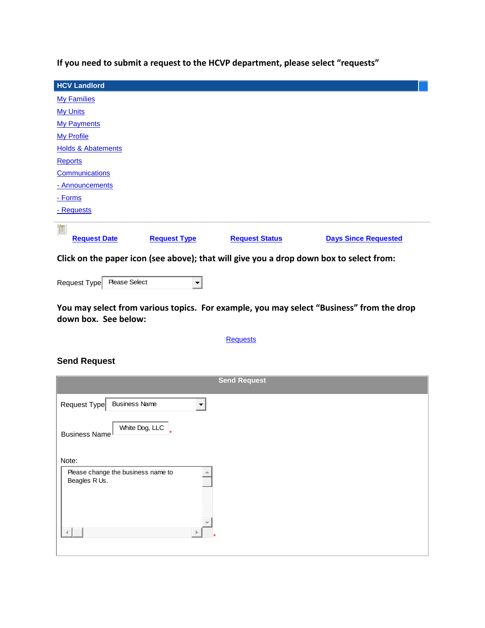**If you need to submit a request to the HCVP department, please select "requests"**

| <b>HCV Landlord</b>                                                                     |                          |                       |                             |  |  |  |
|-----------------------------------------------------------------------------------------|--------------------------|-----------------------|-----------------------------|--|--|--|
| <b>My Families</b>                                                                      |                          |                       |                             |  |  |  |
| <b>My Units</b>                                                                         |                          |                       |                             |  |  |  |
| <b>My Payments</b>                                                                      |                          |                       |                             |  |  |  |
| <b>My Profile</b>                                                                       |                          |                       |                             |  |  |  |
| <b>Holds &amp; Abatements</b>                                                           |                          |                       |                             |  |  |  |
| <b>Reports</b>                                                                          |                          |                       |                             |  |  |  |
| Communications                                                                          |                          |                       |                             |  |  |  |
| - Announcements                                                                         |                          |                       |                             |  |  |  |
| - Forms                                                                                 |                          |                       |                             |  |  |  |
| <u>- Requests</u>                                                                       |                          |                       |                             |  |  |  |
|                                                                                         |                          |                       |                             |  |  |  |
| 作<br><b>Request Date</b>                                                                | <b>Request Type</b>      | <b>Request Status</b> | <b>Days Since Requested</b> |  |  |  |
|                                                                                         |                          |                       |                             |  |  |  |
| Click on the paper icon (see above); that will give you a drop down box to select from: |                          |                       |                             |  |  |  |
|                                                                                         |                          |                       |                             |  |  |  |
| <b>Please Select</b><br>Request Type                                                    | $\overline{\phantom{a}}$ |                       |                             |  |  |  |

**You may select from various topics. For example, you may select "Business" from the drop down box. See below:**

#### **[Requests](http://applications.achsng.com/partnerportal/View/HCVLandlord/Request/SendNewRequest.aspx)**

| <b>Send Request</b>                                       |
|-----------------------------------------------------------|
| <b>Business Name</b><br>Request Type                      |
| White Dog, LLC $\vert$<br>Business Name                   |
| Note:                                                     |
| Please change the business name to<br>a.<br>Beagles R Us. |
| N.<br>Þ                                                   |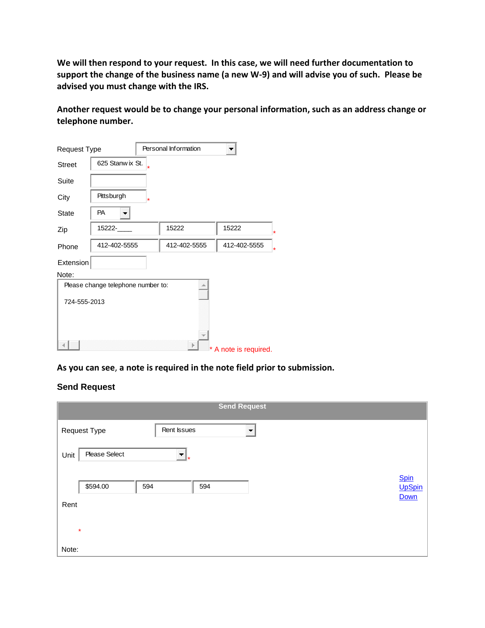**We will then respond to your request. In this case, we will need further documentation to support the change of the business name (a new W-9) and will advise you of such. Please be advised you must change with the IRS.**

**Another request would be to change your personal information, such as an address change or telephone number.**

| <b>Request Type</b> |                                    | Personal Information |                         |
|---------------------|------------------------------------|----------------------|-------------------------|
| <b>Street</b>       | 625 Stanw ix St.                   |                      |                         |
| Suite               |                                    |                      |                         |
| City                | Pittsburgh<br>*                    |                      |                         |
| <b>State</b>        | <b>PA</b>                          |                      |                         |
| Zip                 | 15222-                             | 15222                | 15222<br>*              |
| Phone               | 412-402-5555                       | 412-402-5555         | 412-402-5555<br>$\star$ |
| Extension           |                                    |                      |                         |
| Note:               |                                    |                      |                         |
|                     | Please change telephone number to: | alla .               |                         |
| 724-555-2013        |                                    |                      |                         |
|                     |                                    |                      |                         |
|                     |                                    |                      |                         |
|                     |                                    |                      |                         |
|                     |                                    |                      | * A note is required.   |

#### **As you can see**, **a note is required in the note field prior to submission.**

|                                    |                                                 |     | <b>Send Request</b>      |  |  |                       |
|------------------------------------|-------------------------------------------------|-----|--------------------------|--|--|-----------------------|
| Rent Issues<br><b>Request Type</b> |                                                 |     | $\overline{\phantom{a}}$ |  |  |                       |
| Unit                               | Please Select<br>$\overline{\mathcal{F}}$<br>∣∗ |     |                          |  |  |                       |
|                                    | \$594.00                                        | 594 | 594                      |  |  | <b>Spin</b><br>UpSpin |
| Rent                               |                                                 |     |                          |  |  | Down                  |
|                                    | $\star$                                         |     |                          |  |  |                       |
| Note:                              |                                                 |     |                          |  |  |                       |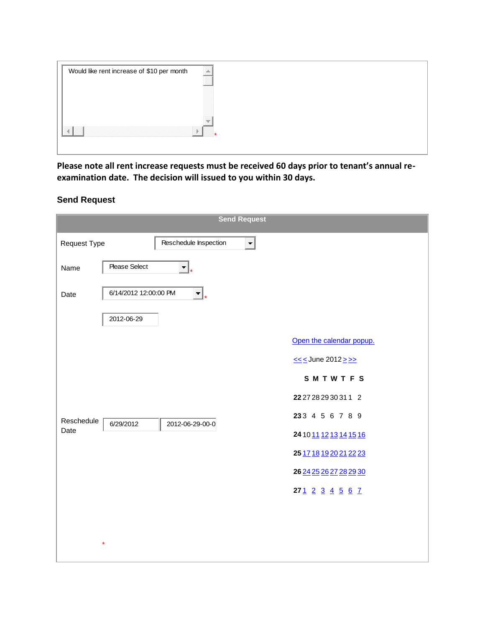| Would like rent increase of \$10 per month |  |
|--------------------------------------------|--|
|                                            |  |
|                                            |  |
|                                            |  |
|                                            |  |
|                                            |  |
|                                            |  |

**Please note all rent increase requests must be received 60 days prior to tenant's annual reexamination date. The decision will issued to you within 30 days.**

| <b>Send Request</b>                                            |                          |
|----------------------------------------------------------------|--------------------------|
| Reschedule Inspection<br><b>Request Type</b><br>$\blacksquare$ |                          |
| Please Select<br>Name<br>۳                                     |                          |
| 6/14/2012 12:00:00 PM<br>Date<br>┯┆                            |                          |
| 2012-06-29                                                     |                          |
|                                                                | Open the calendar popup. |
|                                                                | $\leq$ < June 2012 > >>  |
|                                                                | SMTWTFS                  |
|                                                                | 22 27 28 29 30 31 1 2    |
| Reschedule<br>6/29/2012<br>2012-06-29-00-0                     | 233 4 5 6 7 8 9          |
| Date                                                           | 24 10 11 12 13 14 15 16  |
|                                                                | 25 17 18 19 20 21 22 23  |
|                                                                | 26 24 25 26 27 28 29 30  |
|                                                                | 271 2 3 4 5 6 7          |
|                                                                |                          |
|                                                                |                          |
| $\star$                                                        |                          |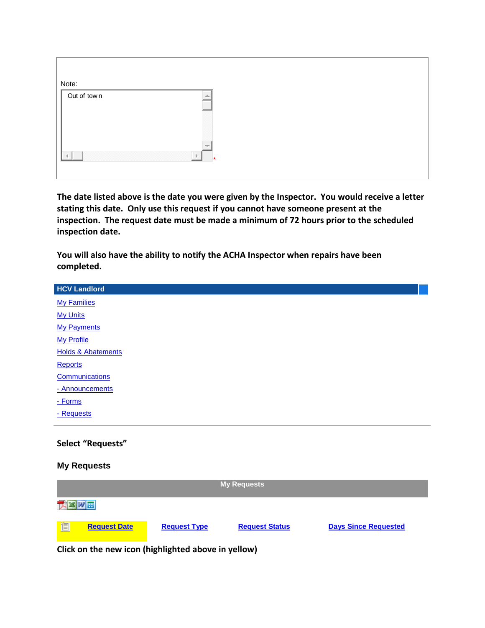| Note:       |   |
|-------------|---|
|             |   |
| Out of town |   |
|             |   |
|             |   |
|             |   |
|             |   |
|             |   |
|             |   |
|             |   |
|             |   |
|             |   |
|             | w |
|             |   |
|             |   |
|             | D |
|             |   |
|             |   |
|             |   |

**The date listed above is the date you were given by the Inspector. You would receive a letter stating this date. Only use this request if you cannot have someone present at the inspection. The request date must be made a minimum of 72 hours prior to the scheduled inspection date.**

| You will also have the ability to notify the ACHA Inspector when repairs have been |
|------------------------------------------------------------------------------------|
| completed.                                                                         |

| <b>HCV Landlord</b>           |
|-------------------------------|
| <b>My Families</b>            |
| <b>My Units</b>               |
| <b>My Payments</b>            |
| <b>My Profile</b>             |
| <b>Holds &amp; Abatements</b> |
| <b>Reports</b>                |
| Communications                |
| - Announcements               |
| - Forms                       |
| - Requests                    |
|                               |

# **Select "Requests"**

# **My Requests**

| <b>My Requests</b> |                     |                     |                       |                             |  |
|--------------------|---------------------|---------------------|-----------------------|-----------------------------|--|
|                    |                     |                     |                       |                             |  |
| <mark></mark> 個    | <b>Request Date</b> | <b>Request Type</b> | <b>Request Status</b> | <b>Days Since Requested</b> |  |

**Click on the new icon (highlighted above in yellow)**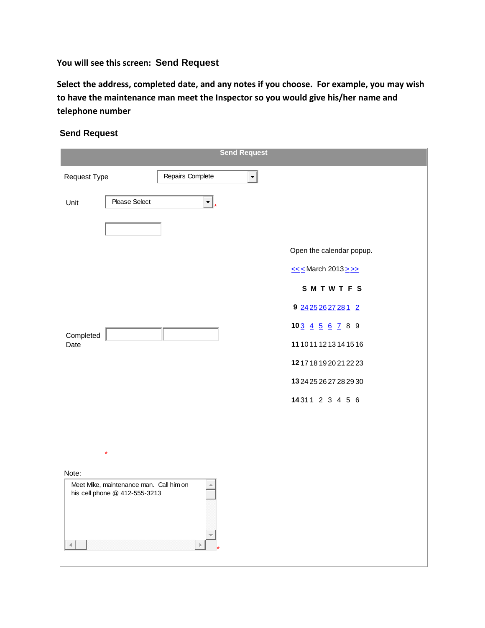# **You will see this screen: Send Request**

**Select the address, completed date, and any notes if you choose. For example, you may wish to have the maintenance man meet the Inspector so you would give his/her name and telephone number**

|                                                  |                               |    | <b>Send Request</b> |                                    |
|--------------------------------------------------|-------------------------------|----|---------------------|------------------------------------|
| Request Type<br>Repairs Complete                 |                               |    |                     |                                    |
| Unit                                             | Please Select                 | τ. |                     |                                    |
|                                                  |                               |    |                     |                                    |
|                                                  |                               |    |                     | Open the calendar popup.           |
|                                                  |                               |    |                     | $\leq \leq$ March 2013 $\geq \geq$ |
|                                                  |                               |    |                     | SMTWTFS                            |
|                                                  |                               |    |                     | 9 24 25 26 27 28 1 2               |
| Completed                                        |                               |    |                     | $103 \underline{4} 5 6 7 8 9$      |
| Date                                             |                               |    |                     | 11 10 11 12 13 14 15 16            |
|                                                  |                               |    |                     | 1217181920212223                   |
|                                                  |                               |    |                     | 13 24 25 26 27 28 29 30            |
|                                                  |                               |    |                     | 14311 2 3 4 5 6                    |
|                                                  |                               |    |                     |                                    |
|                                                  |                               |    |                     |                                    |
|                                                  |                               |    |                     |                                    |
| Note:<br>Meet Mike, maintenance man. Call him on |                               |    |                     |                                    |
|                                                  | his cell phone @ 412-555-3213 |    |                     |                                    |
|                                                  |                               |    |                     |                                    |
|                                                  |                               |    |                     |                                    |
|                                                  |                               |    |                     |                                    |